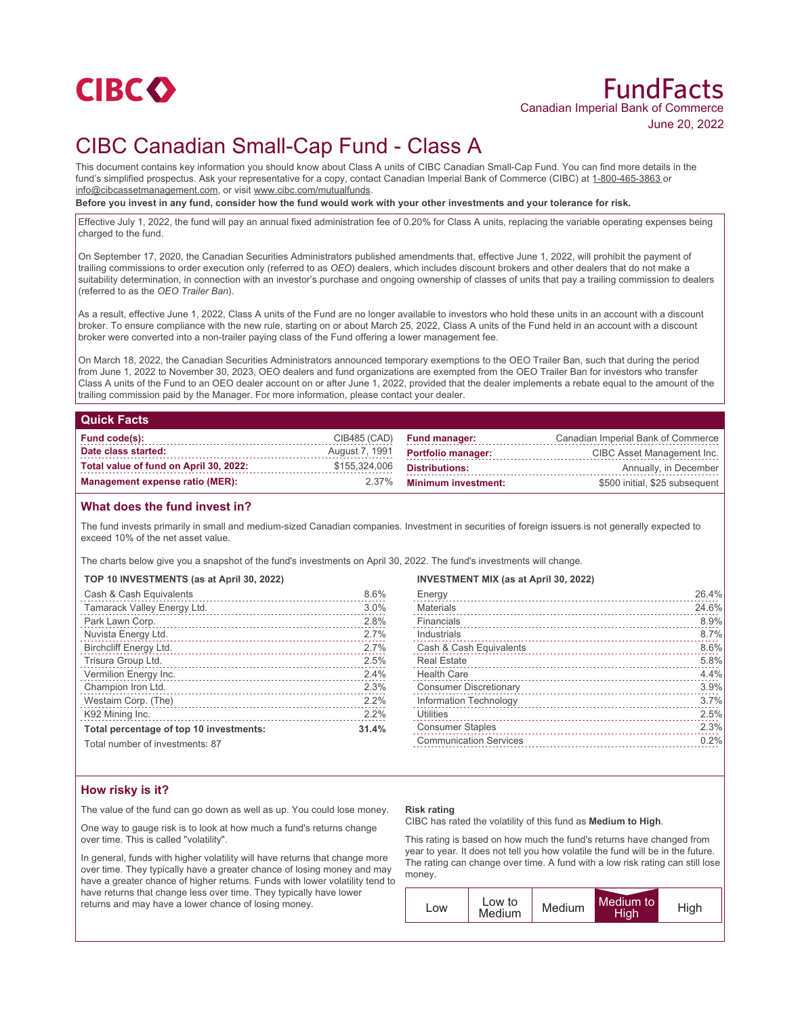

# FundFacts Canadian Imperial Bank of Commerce June 20, 2022

# CIBC Canadian Small-Cap Fund - Class A

This document contains key information you should know about Class A units of CIBC Canadian Small-Cap Fund. You can find more details in the fund's simplified prospectus. Ask your representative for a copy, contact Canadian Imperial Bank of Commerce (CIBC) at 1-800-465-3863 or info@cibcassetmanagement.com, or visit www.cibc.com/mutualfunds.

**Before you invest in any fund, consider how the fund would work with your other investments and your tolerance for risk.**

Effective July 1, 2022, the fund will pay an annual fixed administration fee of 0.20% for Class A units, replacing the variable operating expenses being charged to the fund.

On September 17, 2020, the Canadian Securities Administrators published amendments that, effective June 1, 2022, will prohibit the payment of trailing commissions to order execution only (referred to as *OEO*) dealers, which includes discount brokers and other dealers that do not make a suitability determination, in connection with an investor's purchase and ongoing ownership of classes of units that pay a trailing commission to dealers (referred to as the *OEO Trailer Ban*).

As a result, effective June 1, 2022, Class A units of the Fund are no longer available to investors who hold these units in an account with a discount broker. To ensure compliance with the new rule, starting on or about March 25, 2022, Class A units of the Fund held in an account with a discount broker were converted into a non-trailer paying class of the Fund offering a lower management fee.

On March 18, 2022, the Canadian Securities Administrators announced temporary exemptions to the OEO Trailer Ban, such that during the period from June 1, 2022 to November 30, 2023, OEO dealers and fund organizations are exempted from the OEO Trailer Ban for investors who transfer Class A units of the Fund to an OEO dealer account on or after June 1, 2022, provided that the dealer implements a rebate equal to the amount of the trailing commission paid by the Manager. For more information, please contact your dealer.

## **Quick Facts**

| Fund code(s):                          |               | $CIB485$ (CAD) Fund manager:             | Canadian Imperial Bank of Commerce |
|----------------------------------------|---------------|------------------------------------------|------------------------------------|
| Date class started:                    |               | August 7, 1991 <b>Portfolio manager:</b> | CIBC Asset Management Inc.         |
| Total value of fund on April 30, 2022: | \$155,324,006 | Distributions:                           | Annually, in December              |
| Management expense ratio (MER):        |               | 2.37% Minimum investment:                | \$500 initial, \$25 subsequent     |

## **What does the fund invest in?**

The fund invests primarily in small and medium-sized Canadian companies. Investment in securities of foreign issuers is not generally expected to exceed 10% of the net asset value.

The charts below give you a snapshot of the fund's investments on April 30, 2022. The fund's investments will change.

### **TOP 10 INVESTMENTS (as at April 30, 2022)**

| Cash & Cash Equivalents                 | 8.6%  |
|-----------------------------------------|-------|
| Tamarack Valley Energy Ltd.             | 3.0%  |
| Park Lawn Corp.                         | 2.8%  |
| Nuvista Energy Ltd.                     | 2.7%  |
| Birchcliff Energy Ltd.                  | 2.7%  |
| Trisura Group Ltd.                      | 2.5%  |
| Vermilion Energy Inc.                   | 2.4%  |
| Champion Iron Ltd.                      | 2.3%  |
| Westaim Corp. (The)                     | 2.2%  |
| K92 Mining Inc.                         | 2.2%  |
| Total percentage of top 10 investments: | 31.4% |
| Total number of investments: 07         |       |

**INVESTMENT MIX (as at April 30, 2022)**

| Energy                        | 26.4% |
|-------------------------------|-------|
| <b>Materials</b>              | 24.6% |
| Financials                    | 8.9%  |
| Industrials                   | 8.7%  |
| Cash & Cash Equivalents       | 8.6%  |
| <b>Real Estate</b>            | 5.8%  |
| <b>Health Care</b>            | 4.4%  |
| <b>Consumer Discretionary</b> | 3.9%  |
| Information Technology        | 3.7%  |
| <b>Utilities</b>              | 2.5%  |
| <b>Consumer Staples</b>       | 2.3%  |
| <b>Communication Services</b> | 0.2%  |
|                               |       |

Total number of investments: 87

# **How risky is it?**

The value of the fund can go down as well as up. You could lose money.

One way to gauge risk is to look at how much a fund's returns change over time. This is called "volatility".

In general, funds with higher volatility will have returns that change more over time. They typically have a greater chance of losing money and may have a greater chance of higher returns. Funds with lower volatility tend to have returns that change less over time. They typically have lower returns and may have a lower chance of losing money.

### **Risk rating**

CIBC has rated the volatility of this fund as **Medium to High**.

This rating is based on how much the fund's returns have changed from year to year. It does not tell you how volatile the fund will be in the future. The rating can change over time. A fund with a low risk rating can still lose money.

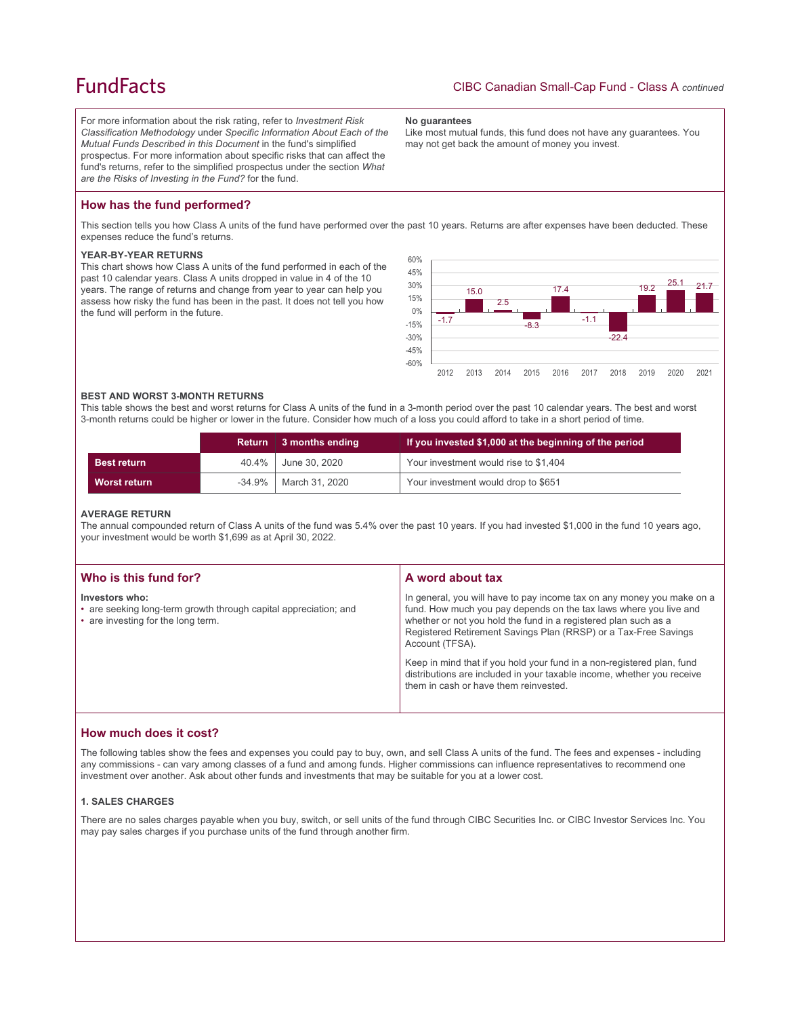# **FundFacts**

For more information about the risk rating, refer to *Investment Risk Classification Methodology* under *Specific Information About Each of the Mutual Funds Described in this Document* in the fund's simplified prospectus. For more information about specific risks that can affect the fund's returns, refer to the simplified prospectus under the section *What are the Risks of Investing in the Fund?* for the fund.

#### **No guarantees**

Like most mutual funds, this fund does not have any guarantees. You may not get back the amount of money you invest.

# **How has the fund performed?**

This section tells you how Class A units of the fund have performed over the past 10 years. Returns are after expenses have been deducted. These expenses reduce the fund's returns.

## **YEAR-BY-YEAR RETURNS**

This chart shows how Class A units of the fund performed in each of the past 10 calendar years. Class A units dropped in value in 4 of the 10 years. The range of returns and change from year to year can help you assess how risky the fund has been in the past. It does not tell you how the fund will perform in the future.



### **BEST AND WORST 3-MONTH RETURNS**

This table shows the best and worst returns for Class A units of the fund in a 3-month period over the past 10 calendar years. The best and worst 3-month returns could be higher or lower in the future. Consider how much of a loss you could afford to take in a short period of time.

|                     | <b>Return</b> | 3 months ending | If you invested \$1,000 at the beginning of the period |
|---------------------|---------------|-----------------|--------------------------------------------------------|
| <b>Best return</b>  | 40.4%         | June 30. 2020   | Your investment would rise to \$1,404                  |
| <b>Worst return</b> | $-34.9\%$     | March 31, 2020  | Your investment would drop to \$651                    |

#### **AVERAGE RETURN**

The annual compounded return of Class A units of the fund was 5.4% over the past 10 years. If you had invested \$1,000 in the fund 10 years ago, your investment would be worth \$1,699 as at April 30, 2022.

| Who is this fund for?                                                                                                    | A word about tax                                                                                                                                                                                                                                                                                                                                                                                                                                                                                  |
|--------------------------------------------------------------------------------------------------------------------------|---------------------------------------------------------------------------------------------------------------------------------------------------------------------------------------------------------------------------------------------------------------------------------------------------------------------------------------------------------------------------------------------------------------------------------------------------------------------------------------------------|
| Investors who:<br>• are seeking long-term growth through capital appreciation; and<br>• are investing for the long term. | In general, you will have to pay income tax on any money you make on a<br>fund. How much you pay depends on the tax laws where you live and<br>whether or not you hold the fund in a registered plan such as a<br>Registered Retirement Savings Plan (RRSP) or a Tax-Free Savings<br>Account (TFSA).<br>Keep in mind that if you hold your fund in a non-registered plan, fund<br>distributions are included in your taxable income, whether you receive<br>them in cash or have them reinvested. |

## **How much does it cost?**

The following tables show the fees and expenses you could pay to buy, own, and sell Class A units of the fund. The fees and expenses - including any commissions - can vary among classes of a fund and among funds. Higher commissions can influence representatives to recommend one investment over another. Ask about other funds and investments that may be suitable for you at a lower cost.

### **1. SALES CHARGES**

There are no sales charges payable when you buy, switch, or sell units of the fund through CIBC Securities Inc. or CIBC Investor Services Inc. You may pay sales charges if you purchase units of the fund through another firm.